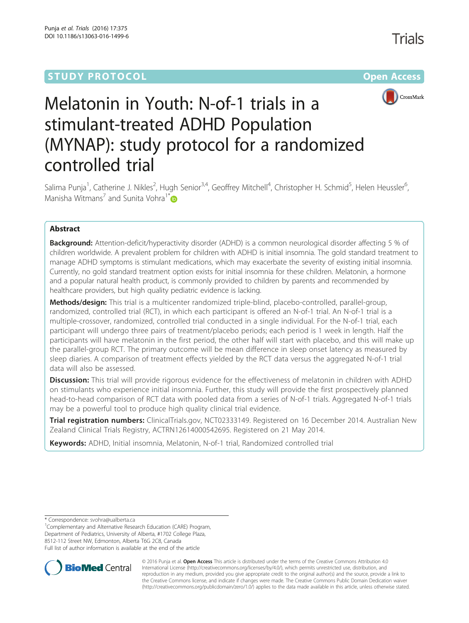## **STUDY PROTOCOL CONSUMING THE RESERVE ACCESS**



# Melatonin in Youth: N-of-1 trials in a stimulant-treated ADHD Population (MYNAP): study protocol for a randomized controlled trial

Salima Punja<sup>1</sup>, Catherine J. Nikles<sup>2</sup>, Hugh Senior<sup>3,4</sup>, Geoffrey Mitchell<sup>4</sup>, Christopher H. Schmid<sup>5</sup>, Helen Heussler<sup>6</sup> , Manisha Witmans<sup>7</sup> and Sunita Vohra<sup>1[\\*](http://orcid.org/0000-0002-6210-7933)</sup>

## Abstract

**Background:** Attention-deficit/hyperactivity disorder (ADHD) is a common neurological disorder affecting 5 % of children worldwide. A prevalent problem for children with ADHD is initial insomnia. The gold standard treatment to manage ADHD symptoms is stimulant medications, which may exacerbate the severity of existing initial insomnia. Currently, no gold standard treatment option exists for initial insomnia for these children. Melatonin, a hormone and a popular natural health product, is commonly provided to children by parents and recommended by healthcare providers, but high quality pediatric evidence is lacking.

Methods/design: This trial is a multicenter randomized triple-blind, placebo-controlled, parallel-group, randomized, controlled trial (RCT), in which each participant is offered an N-of-1 trial. An N-of-1 trial is a multiple-crossover, randomized, controlled trial conducted in a single individual. For the N-of-1 trial, each participant will undergo three pairs of treatment/placebo periods; each period is 1 week in length. Half the participants will have melatonin in the first period, the other half will start with placebo, and this will make up the parallel-group RCT. The primary outcome will be mean difference in sleep onset latency as measured by sleep diaries. A comparison of treatment effects yielded by the RCT data versus the aggregated N-of-1 trial data will also be assessed.

**Discussion:** This trial will provide rigorous evidence for the effectiveness of melatonin in children with ADHD on stimulants who experience initial insomnia. Further, this study will provide the first prospectively planned head-to-head comparison of RCT data with pooled data from a series of N-of-1 trials. Aggregated N-of-1 trials may be a powerful tool to produce high quality clinical trial evidence.

Trial registration numbers: ClinicalTrials.gov, [NCT02333149.](https://clinicaltrials.gov/ct2/show/NCT02333149) Registered on 16 December 2014. Australian New Zealand Clinical Trials Registry, [ACTRN12614000542695.](https://www.anzctr.org.au/Trial/Registration/TrialReview.aspx?id=366272) Registered on 21 May 2014.

Keywords: ADHD, Initial insomnia, Melatonin, N-of-1 trial, Randomized controlled trial

\* Correspondence: [svohra@ualberta.ca](mailto:svohra@ualberta.ca) <sup>1</sup>

<sup>1</sup> Complementary and Alternative Research Education (CARE) Program, Department of Pediatrics, University of Alberta, #1702 College Plaza, 8512-112 Street NW, Edmonton, Alberta T6G 2C8, Canada Full list of author information is available at the end of the article



© 2016 Punja et al. Open Access This article is distributed under the terms of the Creative Commons Attribution 4.0 International License [\(http://creativecommons.org/licenses/by/4.0/](http://creativecommons.org/licenses/by/4.0/)), which permits unrestricted use, distribution, and reproduction in any medium, provided you give appropriate credit to the original author(s) and the source, provide a link to the Creative Commons license, and indicate if changes were made. The Creative Commons Public Domain Dedication waiver [\(http://creativecommons.org/publicdomain/zero/1.0/](http://creativecommons.org/publicdomain/zero/1.0/)) applies to the data made available in this article, unless otherwise stated.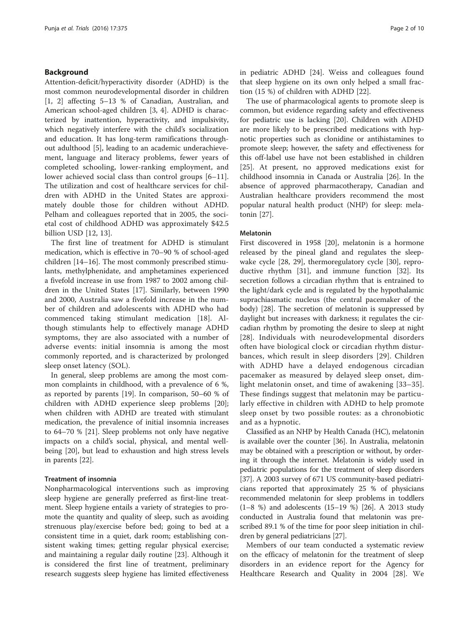## Background

Attention-deficit/hyperactivity disorder (ADHD) is the most common neurodevelopmental disorder in children [[1, 2](#page-8-0)] affecting 5–13 % of Canadian, Australian, and American school-aged children [\[3](#page-8-0), [4\]](#page-8-0). ADHD is characterized by inattention, hyperactivity, and impulsivity, which negatively interfere with the child's socialization and education. It has long-term ramifications throughout adulthood [\[5](#page-8-0)], leading to an academic underachievement, language and literacy problems, fewer years of completed schooling, lower-ranking employment, and lower achieved social class than control groups [[6](#page-8-0)–[11](#page-8-0)]. The utilization and cost of healthcare services for children with ADHD in the United States are approximately double those for children without ADHD. Pelham and colleagues reported that in 2005, the societal cost of childhood ADHD was approximately \$42.5 billion USD [[12, 13](#page-8-0)].

The first line of treatment for ADHD is stimulant medication, which is effective in 70–90 % of school-aged children [\[14](#page-8-0)–[16\]](#page-8-0). The most commonly prescribed stimulants, methylphenidate, and amphetamines experienced a fivefold increase in use from 1987 to 2002 among children in the United States [[17\]](#page-8-0). Similarly, between 1990 and 2000, Australia saw a fivefold increase in the number of children and adolescents with ADHD who had commenced taking stimulant medication [[18\]](#page-8-0). Although stimulants help to effectively manage ADHD symptoms, they are also associated with a number of adverse events: initial insomnia is among the most commonly reported, and is characterized by prolonged sleep onset latency (SOL).

In general, sleep problems are among the most common complaints in childhood, with a prevalence of 6 %, as reported by parents [[19](#page-8-0)]. In comparison, 50–60 % of children with ADHD experience sleep problems [\[20](#page-8-0)]; when children with ADHD are treated with stimulant medication, the prevalence of initial insomnia increases to 64–70 % [\[21](#page-8-0)]. Sleep problems not only have negative impacts on a child's social, physical, and mental wellbeing [[20\]](#page-8-0), but lead to exhaustion and high stress levels in parents [[22\]](#page-8-0).

## Treatment of insomnia

Nonpharmacological interventions such as improving sleep hygiene are generally preferred as first-line treatment. Sleep hygiene entails a variety of strategies to promote the quantity and quality of sleep, such as avoiding strenuous play/exercise before bed; going to bed at a consistent time in a quiet, dark room; establishing consistent waking times; getting regular physical exercise; and maintaining a regular daily routine [[23\]](#page-8-0). Although it is considered the first line of treatment, preliminary research suggests sleep hygiene has limited effectiveness in pediatric ADHD [[24](#page-8-0)]. Weiss and colleagues found that sleep hygiene on its own only helped a small fraction (15 %) of children with ADHD [[22\]](#page-8-0).

The use of pharmacological agents to promote sleep is common, but evidence regarding safety and effectiveness for pediatric use is lacking [\[20\]](#page-8-0). Children with ADHD are more likely to be prescribed medications with hypnotic properties such as clonidine or antihistamines to promote sleep; however, the safety and effectiveness for this off-label use have not been established in children [[25\]](#page-8-0). At present, no approved medications exist for childhood insomnia in Canada or Australia [[26\]](#page-8-0). In the absence of approved pharmacotherapy, Canadian and Australian healthcare providers recommend the most popular natural health product (NHP) for sleep: melatonin [[27](#page-8-0)].

#### Melatonin

First discovered in 1958 [[20](#page-8-0)], melatonin is a hormone released by the pineal gland and regulates the sleepwake cycle [[28](#page-8-0), [29](#page-8-0)], thermoregulatory cycle [[30\]](#page-8-0), reproductive rhythm [\[31\]](#page-8-0), and immune function [[32\]](#page-8-0). Its secretion follows a circadian rhythm that is entrained to the light/dark cycle and is regulated by the hypothalamic suprachiasmatic nucleus (the central pacemaker of the body) [[28](#page-8-0)]. The secretion of melatonin is suppressed by daylight but increases with darkness; it regulates the circadian rhythm by promoting the desire to sleep at night [[28\]](#page-8-0). Individuals with neurodevelopmental disorders often have biological clock or circadian rhythm disturbances, which result in sleep disorders [[29\]](#page-8-0). Children with ADHD have a delayed endogenous circadian pacemaker as measured by delayed sleep onset, dimlight melatonin onset, and time of awakening [[33](#page-8-0)–[35](#page-8-0)]. These findings suggest that melatonin may be particularly effective in children with ADHD to help promote sleep onset by two possible routes: as a chronobiotic and as a hypnotic.

Classified as an NHP by Health Canada (HC), melatonin is available over the counter [\[36\]](#page-8-0). In Australia, melatonin may be obtained with a prescription or without, by ordering it through the internet. Melatonin is widely used in pediatric populations for the treatment of sleep disorders [[37](#page-8-0)]. A 2003 survey of 671 US community-based pediatricians reported that approximately 25 % of physicians recommended melatonin for sleep problems in toddlers (1–8 %) and adolescents (15–19 %) [\[26\]](#page-8-0). A 2013 study conducted in Australia found that melatonin was prescribed 89.1 % of the time for poor sleep initiation in children by general pediatricians [[27](#page-8-0)].

Members of our team conducted a systematic review on the efficacy of melatonin for the treatment of sleep disorders in an evidence report for the Agency for Healthcare Research and Quality in 2004 [\[28](#page-8-0)]. We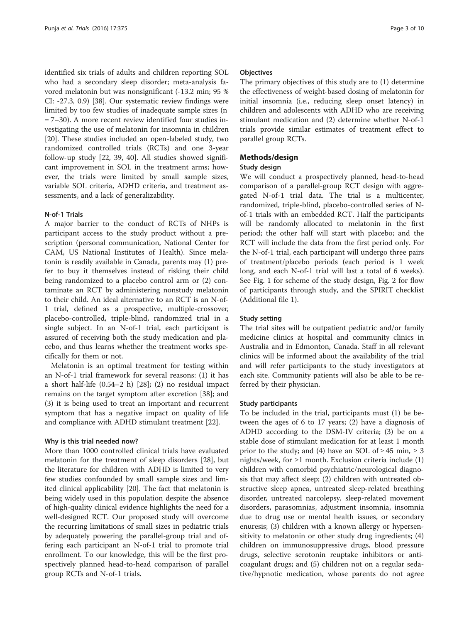identified six trials of adults and children reporting SOL who had a secondary sleep disorder; meta-analysis favored melatonin but was nonsignificant (-13.2 min; 95 % CI: -27.3, 0.9) [\[38](#page-8-0)]. Our systematic review findings were limited by too few studies of inadequate sample sizes (n = 7–30). A more recent review identified four studies investigating the use of melatonin for insomnia in children [[20\]](#page-8-0). These studies included an open-labeled study, two randomized controlled trials (RCTs) and one 3-year follow-up study [[22,](#page-8-0) [39, 40](#page-9-0)]. All studies showed significant improvement in SOL in the treatment arms; however, the trials were limited by small sample sizes, variable SOL criteria, ADHD criteria, and treatment assessments, and a lack of generalizability.

## N-of-1 Trials

A major barrier to the conduct of RCTs of NHPs is participant access to the study product without a prescription (personal communication, National Center for CAM, US National Institutes of Health). Since melatonin is readily available in Canada, parents may (1) prefer to buy it themselves instead of risking their child being randomized to a placebo control arm or (2) contaminate an RCT by administering nonstudy melatonin to their child. An ideal alternative to an RCT is an N-of-1 trial, defined as a prospective, multiple-crossover, placebo-controlled, triple-blind, randomized trial in a single subject. In an N-of-1 trial, each participant is assured of receiving both the study medication and placebo, and thus learns whether the treatment works specifically for them or not.

Melatonin is an optimal treatment for testing within an N-of-1 trial framework for several reasons: (1) it has a short half-life (0.54–2 h) [[28\]](#page-8-0); (2) no residual impact remains on the target symptom after excretion [\[38\]](#page-8-0); and (3) it is being used to treat an important and recurrent symptom that has a negative impact on quality of life and compliance with ADHD stimulant treatment [\[22](#page-8-0)].

## Why is this trial needed now?

More than 1000 controlled clinical trials have evaluated melatonin for the treatment of sleep disorders [[28\]](#page-8-0), but the literature for children with ADHD is limited to very few studies confounded by small sample sizes and limited clinical applicability [[20](#page-8-0)]. The fact that melatonin is being widely used in this population despite the absence of high-quality clinical evidence highlights the need for a well-designed RCT. Our proposed study will overcome the recurring limitations of small sizes in pediatric trials by adequately powering the parallel-group trial and offering each participant an N-of-1 trial to promote trial enrollment. To our knowledge, this will be the first prospectively planned head-to-head comparison of parallel group RCTs and N-of-1 trials.

#### **Objectives**

The primary objectives of this study are to (1) determine the effectiveness of weight-based dosing of melatonin for initial insomnia (i.e., reducing sleep onset latency) in children and adolescents with ADHD who are receiving stimulant medication and (2) determine whether N-of-1 trials provide similar estimates of treatment effect to parallel group RCTs.

## Methods/design

#### Study design

We will conduct a prospectively planned, head-to-head comparison of a parallel-group RCT design with aggregated N-of-1 trial data. The trial is a multicenter, randomized, triple-blind, placebo-controlled series of Nof-1 trials with an embedded RCT. Half the participants will be randomly allocated to melatonin in the first period; the other half will start with placebo; and the RCT will include the data from the first period only. For the N-of-1 trial, each participant will undergo three pairs of treatment/placebo periods (each period is 1 week long, and each N-of-1 trial will last a total of 6 weeks). See Fig. [1](#page-3-0) for scheme of the study design, Fig. [2](#page-3-0) for flow of participants through study, and the SPIRIT checklist (Additional file [1](#page-7-0)).

#### Study setting

The trial sites will be outpatient pediatric and/or family medicine clinics at hospital and community clinics in Australia and in Edmonton, Canada. Staff in all relevant clinics will be informed about the availability of the trial and will refer participants to the study investigators at each site. Community patients will also be able to be referred by their physician.

#### Study participants

To be included in the trial, participants must (1) be between the ages of 6 to 17 years; (2) have a diagnosis of ADHD according to the DSM-IV criteria; (3) be on a stable dose of stimulant medication for at least 1 month prior to the study; and (4) have an SOL of  $\geq 45$  min,  $\geq 3$ nights/week, for  $\geq 1$  month. Exclusion criteria include (1) children with comorbid psychiatric/neurological diagnosis that may affect sleep; (2) children with untreated obstructive sleep apnea, untreated sleep-related breathing disorder, untreated narcolepsy, sleep-related movement disorders, parasomnias, adjustment insomnia, insomnia due to drug use or mental health issues, or secondary enuresis; (3) children with a known allergy or hypersensitivity to melatonin or other study drug ingredients; (4) children on immunosuppressive drugs, blood pressure drugs, selective serotonin reuptake inhibitors or anticoagulant drugs; and (5) children not on a regular sedative/hypnotic medication, whose parents do not agree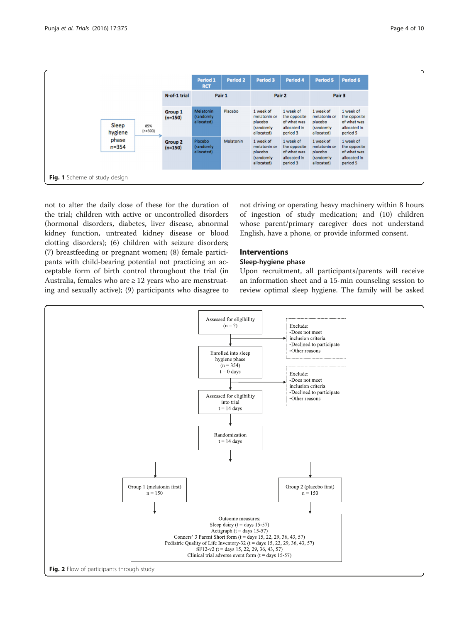

<span id="page-3-0"></span>

not to alter the daily dose of these for the duration of the trial; children with active or uncontrolled disorders (hormonal disorders, diabetes, liver disease, abnormal kidney function, untreated kidney disease or blood clotting disorders); (6) children with seizure disorders; (7) breastfeeding or pregnant women; (8) female participants with child-bearing potential not practicing an acceptable form of birth control throughout the trial (in Australia, females who are  $\geq$  12 years who are menstruating and sexually active); (9) participants who disagree to

not driving or operating heavy machinery within 8 hours of ingestion of study medication; and (10) children whose parent/primary caregiver does not understand English, have a phone, or provide informed consent.

## Interventions

## Sleep-hygiene phase

Upon recruitment, all participants/parents will receive an information sheet and a 15-min counseling session to review optimal sleep hygiene. The family will be asked

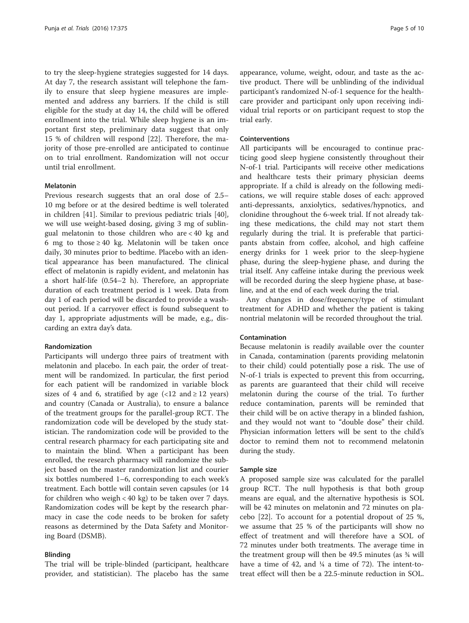to try the sleep-hygiene strategies suggested for 14 days. At day 7, the research assistant will telephone the family to ensure that sleep hygiene measures are implemented and address any barriers. If the child is still eligible for the study at day 14, the child will be offered enrollment into the trial. While sleep hygiene is an important first step, preliminary data suggest that only 15 % of children will respond [[22\]](#page-8-0). Therefore, the majority of those pre-enrolled are anticipated to continue on to trial enrollment. Randomization will not occur until trial enrollment.

## Melatonin

Previous research suggests that an oral dose of 2.5– 10 mg before or at the desired bedtime is well tolerated in children [\[41](#page-9-0)]. Similar to previous pediatric trials [\[40](#page-9-0)], we will use weight-based dosing, giving 3 mg of sublingual melatonin to those children who are < 40 kg and 6 mg to those  $\geq 40$  kg. Melatonin will be taken once daily, 30 minutes prior to bedtime. Placebo with an identical appearance has been manufactured. The clinical effect of melatonin is rapidly evident, and melatonin has a short half-life (0.54–2 h). Therefore, an appropriate duration of each treatment period is 1 week. Data from day 1 of each period will be discarded to provide a washout period. If a carryover effect is found subsequent to day 1, appropriate adjustments will be made, e.g., discarding an extra day's data.

#### Randomization

Participants will undergo three pairs of treatment with melatonin and placebo. In each pair, the order of treatment will be randomized. In particular, the first period for each patient will be randomized in variable block sizes of 4 and 6, stratified by age  $\left( < 12 \text{ and } \geq 12 \text{ years} \right)$ and country (Canada or Australia), to ensure a balance of the treatment groups for the parallel-group RCT. The randomization code will be developed by the study statistician. The randomization code will be provided to the central research pharmacy for each participating site and to maintain the blind. When a participant has been enrolled, the research pharmacy will randomize the subject based on the master randomization list and courier six bottles numbered 1–6, corresponding to each week's treatment. Each bottle will contain seven capsules (or 14 for children who weigh < 40 kg) to be taken over 7 days. Randomization codes will be kept by the research pharmacy in case the code needs to be broken for safety reasons as determined by the Data Safety and Monitoring Board (DSMB).

#### Blinding

The trial will be triple-blinded (participant, healthcare provider, and statistician). The placebo has the same appearance, volume, weight, odour, and taste as the active product. There will be unblinding of the individual participant's randomized N-of-1 sequence for the healthcare provider and participant only upon receiving individual trial reports or on participant request to stop the trial early.

#### Cointerventions

All participants will be encouraged to continue practicing good sleep hygiene consistently throughout their N-of-1 trial. Participants will receive other medications and healthcare tests their primary physician deems appropriate. If a child is already on the following medications, we will require stable doses of each: approved anti-depressants, anxiolytics, sedatives/hypnotics, and clonidine throughout the 6-week trial. If not already taking these medications, the child may not start them regularly during the trial. It is preferable that participants abstain from coffee, alcohol, and high caffeine energy drinks for 1 week prior to the sleep-hygiene phase, during the sleep-hygiene phase, and during the trial itself. Any caffeine intake during the previous week will be recorded during the sleep hygiene phase, at baseline, and at the end of each week during the trial.

Any changes in dose/frequency/type of stimulant treatment for ADHD and whether the patient is taking nontrial melatonin will be recorded throughout the trial.

## Contamination

Because melatonin is readily available over the counter in Canada, contamination (parents providing melatonin to their child) could potentially pose a risk. The use of N-of-1 trials is expected to prevent this from occurring, as parents are guaranteed that their child will receive melatonin during the course of the trial. To further reduce contamination, parents will be reminded that their child will be on active therapy in a blinded fashion, and they would not want to "double dose" their child. Physician information letters will be sent to the child's doctor to remind them not to recommend melatonin during the study.

#### Sample size

A proposed sample size was calculated for the parallel group RCT. The null hypothesis is that both group means are equal, and the alternative hypothesis is SOL will be 42 minutes on melatonin and 72 minutes on placebo [\[22\]](#page-8-0). To account for a potential dropout of 25 %, we assume that 25 % of the participants will show no effect of treatment and will therefore have a SOL of 72 minutes under both treatments. The average time in the treatment group will then be 49.5 minutes (as ¾ will have a time of 42, and  $\frac{1}{4}$  a time of 72). The intent-totreat effect will then be a 22.5-minute reduction in SOL.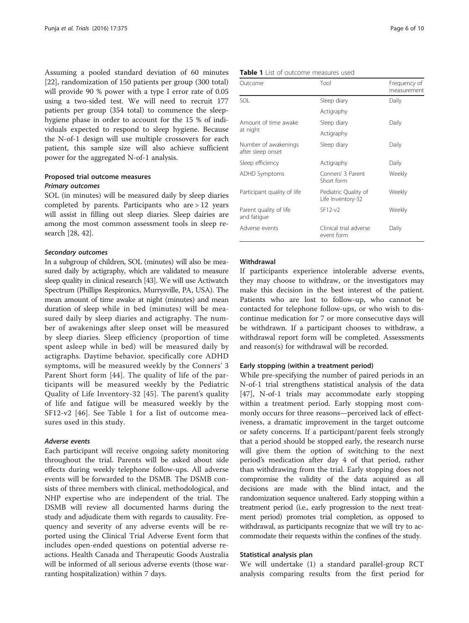Assuming a pooled standard deviation of 60 minutes [[22\]](#page-8-0), randomization of 150 patients per group (300 total) will provide 90 % power with a type I error rate of 0.05 using a two-sided test. We will need to recruit 177 patients per group (354 total) to commence the sleephygiene phase in order to account for the 15 % of individuals expected to respond to sleep hygiene. Because the N-of-1 design will use multiple crossovers for each patient, this sample size will also achieve sufficient power for the aggregated N-of-1 analysis.

## Proposed trial outcome measures Primary outcomes

SOL (in minutes) will be measured daily by sleep diaries completed by parents. Participants who are > 12 years will assist in filling out sleep diaries. Sleep dairies are among the most common assessment tools in sleep research [[28,](#page-8-0) [42](#page-9-0)].

#### Secondary outcomes

In a subgroup of children, SOL (minutes) will also be measured daily by actigraphy, which are validated to measure sleep quality in clinical research [[43](#page-9-0)]. We will use Actiwatch Spectrum (Phillips Respironics, Murrysville, PA, USA). The mean amount of time awake at night (minutes) and mean duration of sleep while in bed (minutes) will be measured daily by sleep diaries and actigraphy. The number of awakenings after sleep onset will be measured by sleep diaries. Sleep efficiency (proportion of time spent asleep while in bed) will be measured daily by actigraphs. Daytime behavior, specifically core ADHD symptoms, will be measured weekly by the Conners' 3 Parent Short form [[44\]](#page-9-0). The quality of life of the participants will be measured weekly by the Pediatric Quality of Life Inventory-32 [\[45\]](#page-9-0). The parent's quality of life and fatigue will be measured weekly by the SF12-v2 [[46\]](#page-9-0). See Table 1 for a list of outcome measures used in this study.

#### Adverse events

Each participant will receive ongoing safety monitoring throughout the trial. Parents will be asked about side effects during weekly telephone follow-ups. All adverse events will be forwarded to the DSMB. The DSMB consists of three members with clinical, methodological, and NHP expertise who are independent of the trial. The DSMB will review all documented harms during the study and adjudicate them with regards to causality. Frequency and severity of any adverse events will be reported using the Clinical Trial Adverse Event form that includes open-ended questions on potential adverse reactions. Health Canada and Therapeutic Goods Australia will be informed of all serious adverse events (those warranting hospitalization) within 7 days.

#### Table 1 List of outcome measures used

| Outcome                                   | Tool                                      | Frequency of<br>measurement |
|-------------------------------------------|-------------------------------------------|-----------------------------|
| SOL                                       | Sleep diary                               | Daily                       |
|                                           | Actigraphy                                |                             |
| Amount of time awake<br>at night          | Sleep diary                               | Daily                       |
|                                           | Actigraphy                                |                             |
| Number of awakenings<br>after sleep onset | Sleep diary                               | Daily                       |
| Sleep efficiency                          | Actigraphy                                | Daily                       |
| ADHD Symptoms                             | Conners' 3 Parent<br>Short form           | Weekly                      |
| Participant quality of life               | Pediatric Quality of<br>Life Inventory-32 | Weekly                      |
| Parent quality of life<br>and fatigue     | $SF12-v2$                                 | Weekly                      |
| Adverse events                            | Clinical trial adverse<br>event form      | Daily                       |

#### Withdrawal

If participants experience intolerable adverse events, they may choose to withdraw, or the investigators may make this decision in the best interest of the patient. Patients who are lost to follow-up, who cannot be contacted for telephone follow-ups, or who wish to discontinue medication for 7 or more consecutive days will be withdrawn. If a participant chooses to withdraw, a withdrawal report form will be completed. Assessments and reason(s) for withdrawal will be recorded.

## Early stopping (within a treatment period)

While pre-specifying the number of paired periods in an N-of-1 trial strengthens statistical analysis of the data [[47\]](#page-9-0), N-of-1 trials may accommodate early stopping within a treatment period. Early stopping most commonly occurs for three reasons—perceived lack of effectiveness, a dramatic improvement in the target outcome or safety concerns. If a participant/parent feels strongly that a period should be stopped early, the research nurse will give them the option of switching to the next period's medication after day 4 of that period, rather than withdrawing from the trial. Early stopping does not compromise the validity of the data acquired as all decisions are made with the blind intact, and the randomization sequence unaltered. Early stopping within a treatment period (i.e., early progression to the next treatment period) promotes trial completion, as opposed to withdrawal, as participants recognize that we will try to accommodate their requests within the confines of the study.

#### Statistical analysis plan

We will undertake (1) a standard parallel-group RCT analysis comparing results from the first period for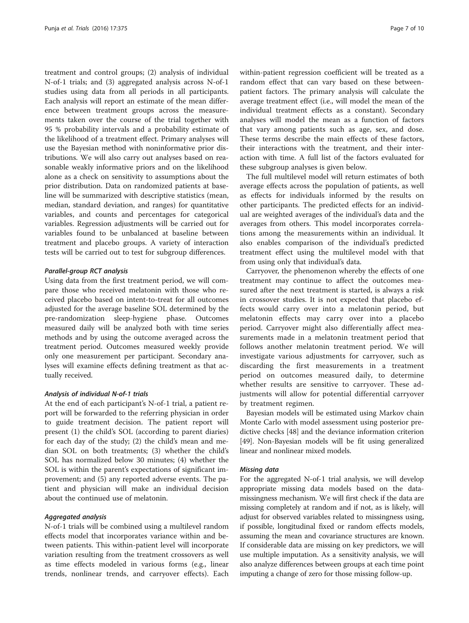treatment and control groups; (2) analysis of individual N-of-1 trials; and (3) aggregated analysis across N-of-1 studies using data from all periods in all participants. Each analysis will report an estimate of the mean difference between treatment groups across the measurements taken over the course of the trial together with 95 % probability intervals and a probability estimate of the likelihood of a treatment effect. Primary analyses will use the Bayesian method with noninformative prior distributions. We will also carry out analyses based on reasonable weakly informative priors and on the likelihood alone as a check on sensitivity to assumptions about the prior distribution. Data on randomized patients at baseline will be summarized with descriptive statistics (mean, median, standard deviation, and ranges) for quantitative variables, and counts and percentages for categorical variables. Regression adjustments will be carried out for variables found to be unbalanced at baseline between treatment and placebo groups. A variety of interaction tests will be carried out to test for subgroup differences.

#### Parallel-group RCT analysis

Using data from the first treatment period, we will compare those who received melatonin with those who received placebo based on intent-to-treat for all outcomes adjusted for the average baseline SOL determined by the pre-randomization sleep-hygiene phase. Outcomes measured daily will be analyzed both with time series methods and by using the outcome averaged across the treatment period. Outcomes measured weekly provide only one measurement per participant. Secondary analyses will examine effects defining treatment as that actually received.

#### Analysis of individual N-of-1 trials

At the end of each participant's N-of-1 trial, a patient report will be forwarded to the referring physician in order to guide treatment decision. The patient report will present (1) the child's SOL (according to parent diaries) for each day of the study; (2) the child's mean and median SOL on both treatments; (3) whether the child's SOL has normalized below 30 minutes; (4) whether the SOL is within the parent's expectations of significant improvement; and (5) any reported adverse events. The patient and physician will make an individual decision about the continued use of melatonin.

#### Aggregated analysis

N-of-1 trials will be combined using a multilevel random effects model that incorporates variance within and between patients. This within-patient level will incorporate variation resulting from the treatment crossovers as well as time effects modeled in various forms (e.g., linear trends, nonlinear trends, and carryover effects). Each

within-patient regression coefficient will be treated as a random effect that can vary based on these betweenpatient factors. The primary analysis will calculate the average treatment effect (i.e., will model the mean of the individual treatment effects as a constant). Secondary analyses will model the mean as a function of factors that vary among patients such as age, sex, and dose. These terms describe the main effects of these factors, their interactions with the treatment, and their interaction with time. A full list of the factors evaluated for these subgroup analyses is given below.

The full multilevel model will return estimates of both average effects across the population of patients, as well as effects for individuals informed by the results on other participants. The predicted effects for an individual are weighted averages of the individual's data and the averages from others. This model incorporates correlations among the measurements within an individual. It also enables comparison of the individual's predicted treatment effect using the multilevel model with that from using only that individual's data.

Carryover, the phenomenon whereby the effects of one treatment may continue to affect the outcomes measured after the next treatment is started, is always a risk in crossover studies. It is not expected that placebo effects would carry over into a melatonin period, but melatonin effects may carry over into a placebo period. Carryover might also differentially affect measurements made in a melatonin treatment period that follows another melatonin treatment period. We will investigate various adjustments for carryover, such as discarding the first measurements in a treatment period on outcomes measured daily, to determine whether results are sensitive to carryover. These adjustments will allow for potential differential carryover by treatment regimen.

Bayesian models will be estimated using Markov chain Monte Carlo with model assessment using posterior predictive checks [\[48\]](#page-9-0) and the deviance information criterion [[49](#page-9-0)]. Non-Bayesian models will be fit using generalized linear and nonlinear mixed models.

#### Missing data

For the aggregated N-of-1 trial analysis, we will develop appropriate missing data models based on the datamissingness mechanism. We will first check if the data are missing completely at random and if not, as is likely, will adjust for observed variables related to missingness using, if possible, longitudinal fixed or random effects models, assuming the mean and covariance structures are known. If considerable data are missing on key predictors, we will use multiple imputation. As a sensitivity analysis, we will also analyze differences between groups at each time point imputing a change of zero for those missing follow-up.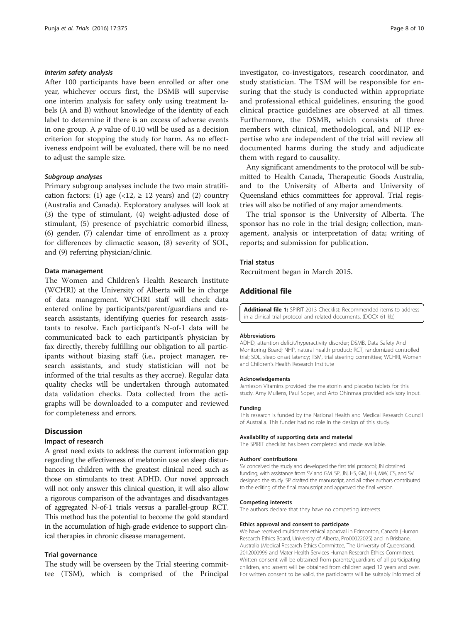## <span id="page-7-0"></span>Interim safety analysis

After 100 participants have been enrolled or after one year, whichever occurs first, the DSMB will supervise one interim analysis for safety only using treatment labels (A and B) without knowledge of the identity of each label to determine if there is an excess of adverse events in one group. A  $p$  value of 0.10 will be used as a decision criterion for stopping the study for harm. As no effectiveness endpoint will be evaluated, there will be no need to adjust the sample size.

#### Subgroup analyses

Primary subgroup analyses include the two main stratification factors: (1) age (<12,  $\ge$  12 years) and (2) country (Australia and Canada). Exploratory analyses will look at (3) the type of stimulant, (4) weight-adjusted dose of stimulant, (5) presence of psychiatric comorbid illness, (6) gender, (7) calendar time of enrollment as a proxy for differences by climactic season, (8) severity of SOL, and (9) referring physician/clinic.

#### Data management

The Women and Children's Health Research Institute (WCHRI) at the University of Alberta will be in charge of data management. WCHRI staff will check data entered online by participants/parent/guardians and research assistants, identifying queries for research assistants to resolve. Each participant's N-of-1 data will be communicated back to each participant's physician by fax directly, thereby fulfilling our obligation to all participants without biasing staff (i.e., project manager, research assistants, and study statistician will not be informed of the trial results as they accrue). Regular data quality checks will be undertaken through automated data validation checks. Data collected from the actigraphs will be downloaded to a computer and reviewed for completeness and errors.

## **Discussion**

#### Impact of research

A great need exists to address the current information gap regarding the effectiveness of melatonin use on sleep disturbances in children with the greatest clinical need such as those on stimulants to treat ADHD. Our novel approach will not only answer this clinical question, it will also allow a rigorous comparison of the advantages and disadvantages of aggregated N-of-1 trials versus a parallel-group RCT. This method has the potential to become the gold standard in the accumulation of high-grade evidence to support clinical therapies in chronic disease management.

#### Trial governance

The study will be overseen by the Trial steering committee (TSM), which is comprised of the Principal investigator, co-investigators, research coordinator, and study statistician. The TSM will be responsible for ensuring that the study is conducted within appropriate and professional ethical guidelines, ensuring the good clinical practice guidelines are observed at all times. Furthermore, the DSMB, which consists of three members with clinical, methodological, and NHP expertise who are independent of the trial will review all documented harms during the study and adjudicate them with regard to causality.

Any significant amendments to the protocol will be submitted to Health Canada, Therapeutic Goods Australia, and to the University of Alberta and University of Queensland ethics committees for approval. Trial registries will also be notified of any major amendments.

The trial sponsor is the University of Alberta. The sponsor has no role in the trial design; collection, management, analysis or interpretation of data; writing of reports; and submission for publication.

#### Trial status

Recruitment began in March 2015.

## Additional file

[Additional file 1:](dx.doi.org/10.1186/s13063-016-1499-6) SPIRIT 2013 Checklist: Recommended items to address in a clinical trial protocol and related documents. (DOCX 61 kb)

#### Abbreviations

ADHD, attention deficit/hyperactivity disorder; DSMB, Data Safety And Monitoring Board; NHP, natural health product; RCT, randomized controlled trial; SOL, sleep onset latency; TSM, trial steering committee; WCHRI, Women and Children's Health Research Institute

#### Acknowledgements

Jamieson Vitamins provided the melatonin and placebo tablets for this study. Amy Mullens, Paul Soper, and Arto Ohinmaa provided advisory input.

#### Funding

This research is funded by the National Health and Medical Research Council of Australia. This funder had no role in the design of this study.

#### Availability of supporting data and material

The SPIRIT checklist has been completed and made available.

#### Authors' contributions

SV conceived the study and developed the first trial protocol; JN obtained funding, with assistance from SV and GM. SP, JN, HS, GM, HH, MW, CS, and SV designed the study. SP drafted the manuscript, and all other authors contributed to the editing of the final manuscript and approved the final version.

#### Competing interests

The authors declare that they have no competing interests.

#### Ethics approval and consent to participate

We have received multicenter ethical approval in Edmonton, Canada (Human Research Ethics Board, University of Alberta, Pro00022025) and in Brisbane, Australia (Medical Research Ethics Committee, The University of Queensland, 2012000999 and Mater Health Services Human Research Ethics Committee). Written consent will be obtained from parents/guardians of all participating children, and assent will be obtained from children aged 12 years and over. For written consent to be valid, the participants will be suitably informed of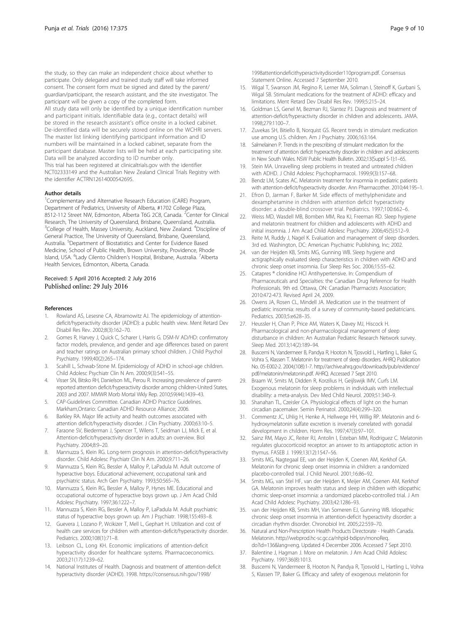<span id="page-8-0"></span>the study, so they can make an independent choice about whether to participate. Only delegated and trained study staff will take informed consent. The consent form must be signed and dated by the parent/ guardian/participant, the research assistant, and the site investigator. The participant will be given a copy of the completed form. All study data will only be identified by a unique identification number and participant initials. Identifiable data (e.g., contact details) will be stored in the research assistant's office onsite in a locked cabinet. De-identified data will be securely stored online on the WCHRI servers. The master list linking identifying participant information and ID numbers will be maintained in a locked cabinet, separate from the participant database. Master lists will be held at each participating site. Data will be analyzed according to ID number only. This trial has been registered at clinicaltrials.gov with the identifier NCT02333149 and the Australian New Zealand Clinical Trials Registry with the identifier ACTRN12614000542695.

#### Author details

<sup>1</sup> Complementary and Alternative Research Education (CARE) Program, Department of Pediatrics, University of Alberta, #1702 College Plaza, 8512-112 Street NW, Edmonton, Alberta T6G 2C8, Canada. <sup>2</sup>Center for Clinical Research, The University of Queensland, Brisbane, Queensland, Australia. <sup>3</sup>College of Health, Massey University, Auckland, New Zealand. <sup>4</sup>Discipline of General Practice, The University of Queensland, Brisbane, Queensland, Australia. <sup>5</sup>Department of Biostatistics and Center for Evidence Based Medicine, School of Public Health, Brown University, Providence, Rhode Island, USA. <sup>6</sup>Lady Cilento Children's Hospital, Brisbane, Australia. <sup>7</sup>Alberta Health Services, Edmonton, Alberta, Canada.

#### Received: 5 April 2016 Accepted: 2 July 2016 Published online: 29 July 2016

#### References

- 1. Rowland AS, Lesesne CA, Abramowitz AJ. The epidemiology of attentiondeficit/hyperactivity disorder (ADHD): a public health view. Ment Retard Dev Disabil Res Rev. 2002;8(3):162–70.
- 2. Gomes R, Harvey J, Quick C, Scharer I, Harris G. DSM-IV AD/HD: confirmatory factor models, prevalence, and gender and age differences based on parent and teacher ratings on Australian primary school children. J Child Psychol Psychiatry. 1999;40(2):265–174.
- 3. Scahill L, Schwab-Stone M. Epidemiology of ADHD in school-age children. Child Adolesc Psychiatr Clin N Am. 2000;9(3):541–55.
- 4. Visser SN, Bitsko RH, Danielson ML, Perou R. Increasing prevalence of parentreported attention deficit/hyperactivity disorder among children-United States, 2003 and 2007. MMWR Morb Mortal Wkly Rep. 2010;59(44):1439–43.
- 5. CAP-Guidelines Committee. Canadian ADHD Practice Guidelines. Markham,Ontario: Canadian ADHD Resource Alliance; 2006.
- 6. Barkley RA. Major life activity and health outcomes associated with attention deficit/hyperactivity disorder. J Clin Psychiatry. 2000;63:10–5.
- 7. Faraone SV, Biederman J, Spencer T, Wilens T, Seidman LJ, Mick E, et al. Attention-deficit/hyperactivity disorder in adults: an overview. Biol Psychiatry. 2004;8:9–20.
- Mannuzza S, Klein RG. Long-term prognosis in attention-deficit/hyperactivity disorder. Child Adolesc Psychiatr Clin N Am. 2000;9:711–26.
- 9. Mannuzza S, Klein RG, Bessler A, Malloy P, LaPadula M. Adult outcome of hyperactive boys. Educational achievement, occupational rank and psychiatric status. Arch Gen Psychiatry. 1993;50:565–76.
- 10. Mannuzza S, Klein RG, Bessler A, Malloy P, Hynes ME. Educational and occupational outcome of hyperactive boys grown up. J Am Acad Child Adolesc Psychiatry. 1997;36:1222–7.
- 11. Mannuzza S, Klein RG, Bessler A, Malloy P, LaPadula M. Adult psychiatric status of hyperactive boys grown up. Am J Psychiatr. 1998;155:493–8.
- 12. Guevera J, Lozano P, Wcikizer T, Mell L, Gephart H. Utilization and cost of health care services for children with attention-deficit/hyperactivity disorder. Pediatrics. 2000;108(1):71–8.
- 13. Leibson CL, Long KH. Economic implications of attention-deficit hyperactivity disorder for healthcare systems. Pharmacoeconomics. 2003;21(17):1239–62.
- 14. National Institutes of Health. Diagnosis and treatment of attention-deficit hyperactivity disorder (ADHD). 1998. [https://consensus.nih.gov/1998/](https://consensus.nih.gov/1998/1998attentiondeficithyperactivitydisorder110program.pdf)

[1998attentiondeficithyperactivitydisorder110program.pdf.](https://consensus.nih.gov/1998/1998attentiondeficithyperactivitydisorder110program.pdf) Consensus

- Statement Online. Accessed 7 September 2010. 15. Wigal T, Swanson JM, Regino R, Lerner MA, Soliman I, Steinoff K, Gurbani S, Wigal SB. Stimulant medications for the treatment of ADHD: efficacy and limitations. Ment Retard Dev Disabil Res Rev. 1999;5:215–24.
- 16. Goldman LS, Genel M, Bezman RJ, Slantez PJ. Diagnosis and treatment of attention-deficit/hyperactivity disorder in children and adolescents. JAMA. 1998;279:1100–7.
- 17. Zuvekas SH, Bitiello B, Norquist GS. Recent trends in stimulant medication use among U.S. children. Am J Psychiatry. 2006;163:164.
- 18. Salmelainen P. Trends in the prescribing of stimulant medication for the treatment of attention deficit hyperactivity disorder in children and adolescents in New South Wales. NSW Public Health Bulletin. 2002;13(Suppl S-1):1–65.
- 19. Stein MA. Unravelling sleep problems in treated and untreated children with ADHD. J Child Adolesc Psychopharmacol. 1999;9(3):157–68.
- 20. Bendz LM, Scates AC. Melatonin treatment for insomnia in pediatric patients with attention-deficit/hyperactivity disorder. Ann Pharmacother. 2010;44:195–1.
- 21. Efron D, Jarman F, Barker M. Side effects of methylphenidate and dexamphetamine in children with attention deficit hyperactivity disorder: a double-blind crossover trial. Pediatrics. 1997;100:662–6.
- 22. Weiss MD, Wasdell MB, Bomben MM, Rea KJ, Freeman RD. Sleep hygiene and melatonin treatment for children and adolescents with ADHD and initial insomnia. J Am Acad Child Adolesc Psychiatry. 2006;45(5):512–9.
- 23. Reite M, Ruddy J, Nagel K. Evaluation and management of sleep disorders. 3rd ed. Washington, DC: American Psychiatric Publishing, Inc; 2002.
- 24. van der Heijden KB, Smits MG, Gunning WB. Sleep hygiene and actigraphically evaluated sleep characteristics in children with ADHD and chronic sleep onset insomnia. Eur Sleep Res Soc. 2006;15:55–62.
- 25. Catapres ® clonidine HCI Antihypertensive. In: Compendium of Pharmaceuticals and Specialties: the Canadian Drug Reference for Health Professionals. 9th ed. Ottawa, ON: Canadian Pharmacists Association; 2010:472-473. Revised April 24, 2009.
- 26. Owens JA, Rosen CL, Mindell JA. Medication use in the treatment of pediatric insomnia: results of a survey of community-based pediatricians. Pediatrics. 2003;5:e628–35.
- 27. Heussler H, Chan P, Price AM, Waters K, Davey MJ, Hiscock H. Pharmacological and non-pharmacological management of sleep disturbance in children: An Australian Pediatric Research Network survey. Sleep Med. 2013;14(2):189–94.
- 28. Buscemi N, Vandermeer B, Pandya R, Hooton N, Tjosvold L, Hartling L, Baker G, Vohra S, Klassen T. Melatonin for treatment of sleep disorders. AHRQ Publication No. 05-E002-2. 2004;(108):1-7. [http://archive.ahrq.gov/downloads/pub/evidence/](http://archive.ahrq.gov/downloads/pub/evidence/pdf/melatonin/melatonin.pdf) [pdf/melatonin/melatonin.pdf.](http://archive.ahrq.gov/downloads/pub/evidence/pdf/melatonin/melatonin.pdf) AHRQ. Accessed 7 Sept 2010.
- 29. Braam W, Smits M, Didden R, Korzilius H, Geijlswijk IMV, Curfs LM. Exogenous melatonin for sleep problems in individuals with intellectual disability: a meta-analysis. Dev Med Child Neurol. 2009;51:340–9.
- 30. Shanahan TL, Czeisler CA. Physiological effects of light on the human circadian pacemaker. Semin Perinatol. 2000;24(4):299–320.
- 31. Commentz JC, Uhlig H, Henke A, Hellwege HH, Willig RP. Melatonin and 6 hydroxymelatonin sulfate excretion is inversely correlated with gonadal development in children. Horm Res. 1997;47(3):97–101.
- 32. Sainz RM, Mayo JC, Reiter RJ, Antolin I, Esteban MM, Rodriguez C. Melatonin regulates glucocorticoid receptor: an answer to its antiapoptotic action in thymus. FASEB J. 1999;13(12):1547–56.
- 33. Smits MG, Nagtegaal EE, van der Heijden K, Coenen AM, Kerkhof GA. Melatonin for chronic sleep onset insomnia in children: a randomized placebo-controlled trial. J Child Neurol. 2001;16:86–92.
- 34. Smits MG, van Stel HF, van der Heijden K, Meijer AM, Coenen AM, Kerkhof GA. Melatonin improves health status and sleep in children with idiopathic chornic sleep-onset insomnia: a randomized placebo-controlled trial. J Am Acad Child Adolesc Psychiatry. 2003;42:1286–93.
- 35. van der Heijden KB, Smits MH, Van Someren EJ, Gunning WB. Idiopathic chronic sleep onset insomnia in attention-deficit hyperactivity disorder: a circadian rhythm disorder. Chronobiol Int. 2005;22:559–70.
- 36. Natural and Non-Prescription Health Products Directorate Health Canada. Melatonin. [http://webprod.hc-sc.gc.ca/nhpid-bdipsn/monoReq.](http://webprod.hc-sc.gc.ca/nhpid-bdipsn/monoReq.do?id=136&lang=eng) [do?id=136&lang=eng.](http://webprod.hc-sc.gc.ca/nhpid-bdipsn/monoReq.do?id=136&lang=eng) Updated 4 December 2006. Accessed 7 Sept 2010.
- 37. Balentine J, Hagman J. More on melatonin. J Am Acad Child Adolesc Psychiatry. 1997;36(8):1013.
- 38. Buscemi N, Vandermeer B, Hooton N, Pandya R, Tjosvold L, Hartling L, Vohra S, Klassen TP, Baker G. Efficacy and safety of exogenous melatonin for